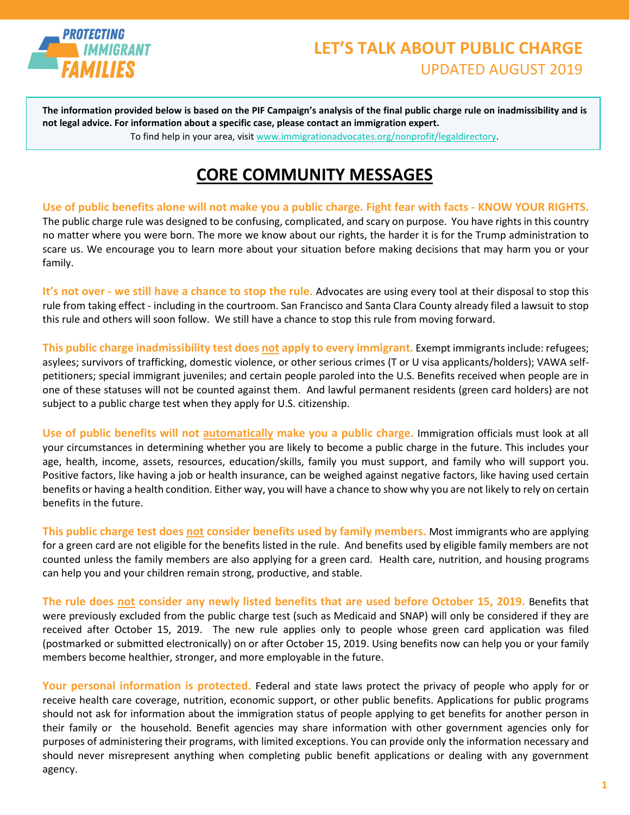

## **LET'S TALK ABOUT PUBLIC CHARGE** UPDATED AUGUST 2019

**The information provided below is based on the PIF Campaign's analysis of the final public charge rule on inadmissibility and is not legal advice. For information about a specific case, please contact an immigration expert.**

To find help in your area, visi[t www.immigrationadvocates.org/nonprofit/legaldirectory.](http://www.immigrationadvocates.org/nonprofit/legaldirectory)

## **CORE COMMUNITY MESSAGES**

**Use of public benefits alone will not make you a public charge. Fight fear with facts - KNOW YOUR RIGHTS.**  The public charge rule was designed to be confusing, complicated, and scary on purpose. You have rights in this country no matter where you were born. The more we know about our rights, the harder it is for the Trump administration to scare us. We encourage you to learn more about your situation before making decisions that may harm you or your family.

**It's not over - we still have a chance to stop the rule.** Advocates are using every tool at their disposal to stop this rule from taking effect - including in the courtroom. San Francisco and Santa Clara County already filed a lawsuit to stop this rule and others will soon follow. We still have a chance to stop this rule from moving forward.

**This public charge inadmissibility test does not apply to every immigrant.** Exempt immigrants include: refugees; asylees; survivors of trafficking, domestic violence, or other serious crimes (T or U visa applicants/holders); VAWA selfpetitioners; special immigrant juveniles; and certain people paroled into the U.S. Benefits received when people are in one of these statuses will not be counted against them. And lawful permanent residents (green card holders) are not subject to a public charge test when they apply for U.S. citizenship.

**Use of public benefits will not automatically make you a public charge.** Immigration officials must look at all your circumstances in determining whether you are likely to become a public charge in the future. This includes your age, health, income, assets, resources, education/skills, family you must support, and family who will support you. Positive factors, like having a job or health insurance, can be weighed against negative factors, like having used certain benefits or having a health condition. Either way, you will have a chance to show why you are not likely to rely on certain benefits in the future.

**This public charge test does not consider benefits used by family members.** Most immigrants who are applying for a green card are not eligible for the benefits listed in the rule. And benefits used by eligible family members are not counted unless the family members are also applying for a green card. Health care, nutrition, and housing programs can help you and your children remain strong, productive, and stable.

**The rule does not consider any newly listed benefits that are used before October 15, 2019.** Benefits that were previously excluded from the public charge test (such as Medicaid and SNAP) will only be considered if they are received after October 15, 2019. The new rule applies only to people whose green card application was filed (postmarked or submitted electronically) on or after October 15, 2019. Using benefits now can help you or your family members become healthier, stronger, and more employable in the future.

**Your personal information is protected.** Federal and state laws protect the privacy of people who apply for or receive health care coverage, nutrition, economic support, or other public benefits. Applications for public programs should not ask for information about the immigration status of people applying to get benefits for another person in their family or the household. Benefit agencies may share information with other government agencies only for purposes of administering their programs, with limited exceptions. You can provide only the information necessary and should never misrepresent anything when completing public benefit applications or dealing with any government agency.